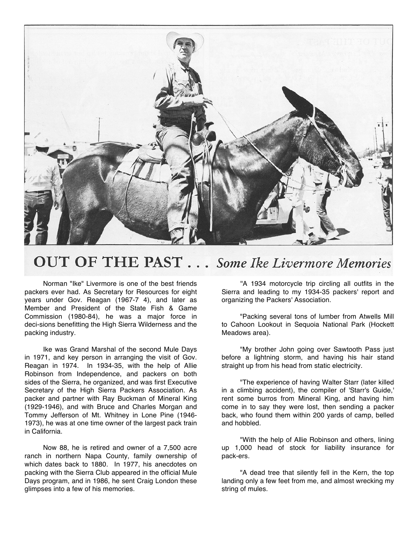

## **OUT OF THE PAST...** Some Ike Livermore Memories

Norman "Ike" Livermore is one of the best friends packers ever had. As Secretary for Resources for eight years under Gov. Reagan (1967-7 4), and later as Member and President of the State Fish & Game Commission (1980-84), he was a major force in deci-sions benefitting the High Sierra Wilderness and the packing industry.

Ike was Grand Marshal of the second Mule Days in 1971, and key person in arranging the visit of Gov. Reagan in 1974. In 1934-35, with the help of Allie Robinson from Independence, and packers on both sides of the Sierra, he organized, and was first Executive Secretary of the High Sierra Packers Association. As packer and partner with Ray Buckman of Mineral King (1929-1946), and with Bruce and Charles Morgan and Tommy Jefferson of Mt. Whitney in Lone Pine (1946- 1973), he was at one time owner of the largest pack train in California.

Now 88, he is retired and owner of a 7,500 acre ranch in northern Napa County, family ownership of which dates back to 1880. In 1977, his anecdotes on packing with the Sierra Club appeared in the official Mule Days program, and in 1986, he sent Craig London these glimpses into a few of his memories.

''A 1934 motorcycle trip circling all outfits in the Sierra and leading to my 1934-35 packers' report and organizing the Packers' Association.

"Packing several tons of lumber from Atwells Mill to Cahoon Lookout in Sequoia National Park (Hockett Meadows area).

"My brother John going over Sawtooth Pass just before a lightning storm, and having his hair stand straight up from his head from static electricity.

"The experience of having Walter Starr (later killed in a climbing accident), the compiler of 'Starr's Guide,' rent some burros from Mineral King, and having him come in to say they were lost, then sending a packer back, who found them within 200 yards of camp, belled and hobbled.

"With the help of Allie Robinson and others, lining up 1,000 head of stock for liability insurance for pack-ers.

"A dead tree that silently fell in the Kern, the top landing only a few feet from me, and almost wrecking my string of mules.